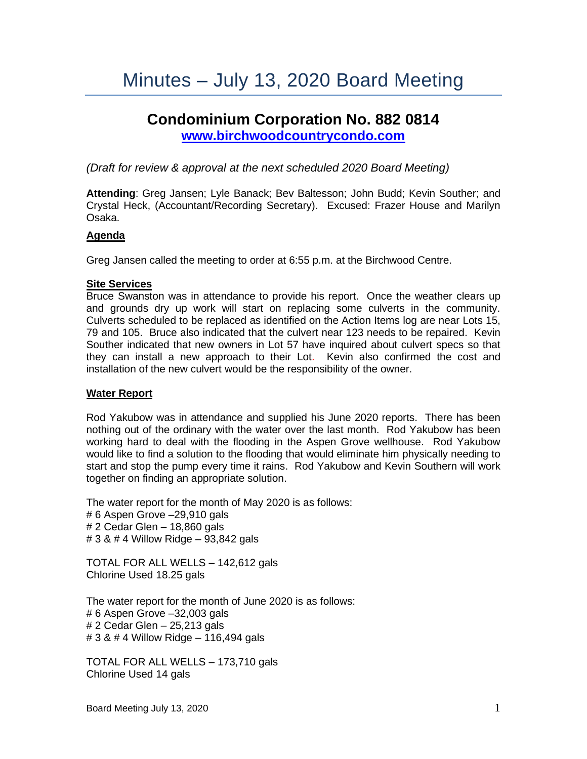# Minutes – July 13, 2020 Board Meeting

# **Condominium Corporation No. 882 0814 [www.birchwoodcountrycondo.com](http://www.birchwoodcountrycondo.com/)**

# *(Draft for review & approval at the next scheduled 2020 Board Meeting)*

**Attending**: Greg Jansen; Lyle Banack; Bev Baltesson; John Budd; Kevin Souther; and Crystal Heck, (Accountant/Recording Secretary). Excused: Frazer House and Marilyn Osaka.

#### **Agenda**

Greg Jansen called the meeting to order at 6:55 p.m. at the Birchwood Centre.

#### **Site Services**

Bruce Swanston was in attendance to provide his report. Once the weather clears up and grounds dry up work will start on replacing some culverts in the community. Culverts scheduled to be replaced as identified on the Action Items log are near Lots 15, 79 and 105. Bruce also indicated that the culvert near 123 needs to be repaired. Kevin Souther indicated that new owners in Lot 57 have inquired about culvert specs so that they can install a new approach to their Lot. Kevin also confirmed the cost and installation of the new culvert would be the responsibility of the owner.

#### **Water Report**

Rod Yakubow was in attendance and supplied his June 2020 reports. There has been nothing out of the ordinary with the water over the last month. Rod Yakubow has been working hard to deal with the flooding in the Aspen Grove wellhouse. Rod Yakubow would like to find a solution to the flooding that would eliminate him physically needing to start and stop the pump every time it rains. Rod Yakubow and Kevin Southern will work together on finding an appropriate solution.

The water report for the month of May 2020 is as follows: # 6 Aspen Grove –29,910 gals # 2 Cedar Glen – 18,860 gals # 3 & # 4 Willow Ridge – 93,842 gals

TOTAL FOR ALL WELLS – 142,612 gals Chlorine Used 18.25 gals

The water report for the month of June 2020 is as follows: # 6 Aspen Grove –32,003 gals # 2 Cedar Glen – 25,213 gals # 3 & # 4 Willow Ridge – 116,494 gals

TOTAL FOR ALL WELLS – 173,710 gals Chlorine Used 14 gals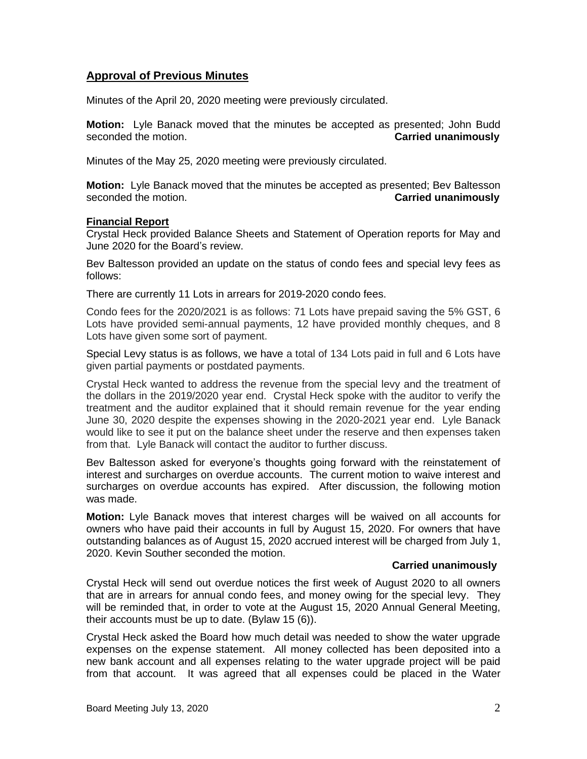# **Approval of Previous Minutes**

Minutes of the April 20, 2020 meeting were previously circulated.

**Motion:** Lyle Banack moved that the minutes be accepted as presented; John Budd seconded the motion. **Carried unanimously**

Minutes of the May 25, 2020 meeting were previously circulated.

**Motion:** Lyle Banack moved that the minutes be accepted as presented; Bev Baltesson seconded the motion. **Carried unanimously**

#### **Financial Report**

Crystal Heck provided Balance Sheets and Statement of Operation reports for May and June 2020 for the Board's review.

Bev Baltesson provided an update on the status of condo fees and special levy fees as follows:

There are currently 11 Lots in arrears for 2019-2020 condo fees.

Condo fees for the 2020/2021 is as follows: 71 Lots have prepaid saving the 5% GST, 6 Lots have provided semi-annual payments, 12 have provided monthly cheques, and 8 Lots have given some sort of payment.

Special Levy status is as follows, we have a total of 134 Lots paid in full and 6 Lots have given partial payments or postdated payments.

Crystal Heck wanted to address the revenue from the special levy and the treatment of the dollars in the 2019/2020 year end. Crystal Heck spoke with the auditor to verify the treatment and the auditor explained that it should remain revenue for the year ending June 30, 2020 despite the expenses showing in the 2020-2021 year end. Lyle Banack would like to see it put on the balance sheet under the reserve and then expenses taken from that. Lyle Banack will contact the auditor to further discuss.

Bev Baltesson asked for everyone's thoughts going forward with the reinstatement of interest and surcharges on overdue accounts. The current motion to waive interest and surcharges on overdue accounts has expired. After discussion, the following motion was made.

**Motion:** Lyle Banack moves that interest charges will be waived on all accounts for owners who have paid their accounts in full by August 15, 2020. For owners that have outstanding balances as of August 15, 2020 accrued interest will be charged from July 1, 2020. Kevin Souther seconded the motion.

#### **Carried unanimously**

Crystal Heck will send out overdue notices the first week of August 2020 to all owners that are in arrears for annual condo fees, and money owing for the special levy. They will be reminded that, in order to vote at the August 15, 2020 Annual General Meeting, their accounts must be up to date. (Bylaw 15 (6)).

Crystal Heck asked the Board how much detail was needed to show the water upgrade expenses on the expense statement. All money collected has been deposited into a new bank account and all expenses relating to the water upgrade project will be paid from that account. It was agreed that all expenses could be placed in the Water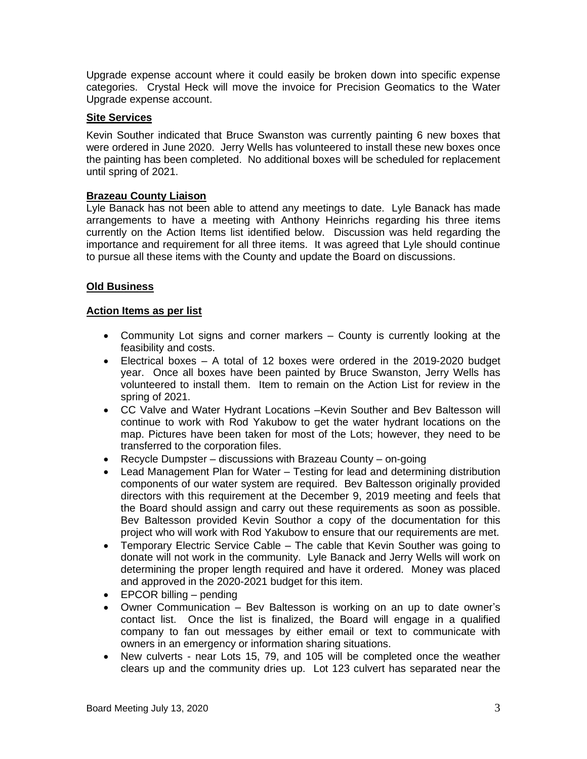Upgrade expense account where it could easily be broken down into specific expense categories. Crystal Heck will move the invoice for Precision Geomatics to the Water Upgrade expense account.

# **Site Services**

Kevin Souther indicated that Bruce Swanston was currently painting 6 new boxes that were ordered in June 2020. Jerry Wells has volunteered to install these new boxes once the painting has been completed. No additional boxes will be scheduled for replacement until spring of 2021.

## **Brazeau County Liaison**

Lyle Banack has not been able to attend any meetings to date. Lyle Banack has made arrangements to have a meeting with Anthony Heinrichs regarding his three items currently on the Action Items list identified below. Discussion was held regarding the importance and requirement for all three items. It was agreed that Lyle should continue to pursue all these items with the County and update the Board on discussions.

# **Old Business**

## **Action Items as per list**

- Community Lot signs and corner markers County is currently looking at the feasibility and costs.
- Electrical boxes A total of 12 boxes were ordered in the 2019-2020 budget year. Once all boxes have been painted by Bruce Swanston, Jerry Wells has volunteered to install them. Item to remain on the Action List for review in the spring of 2021.
- CC Valve and Water Hydrant Locations –Kevin Souther and Bev Baltesson will continue to work with Rod Yakubow to get the water hydrant locations on the map. Pictures have been taken for most of the Lots; however, they need to be transferred to the corporation files.
- Recycle Dumpster discussions with Brazeau County on-going
- Lead Management Plan for Water Testing for lead and determining distribution components of our water system are required. Bev Baltesson originally provided directors with this requirement at the December 9, 2019 meeting and feels that the Board should assign and carry out these requirements as soon as possible. Bev Baltesson provided Kevin Southor a copy of the documentation for this project who will work with Rod Yakubow to ensure that our requirements are met.
- Temporary Electric Service Cable The cable that Kevin Souther was going to donate will not work in the community. Lyle Banack and Jerry Wells will work on determining the proper length required and have it ordered. Money was placed and approved in the 2020-2021 budget for this item.
- EPCOR billing pending
- Owner Communication Bev Baltesson is working on an up to date owner's contact list. Once the list is finalized, the Board will engage in a qualified company to fan out messages by either email or text to communicate with owners in an emergency or information sharing situations.
- New culverts near Lots 15, 79, and 105 will be completed once the weather clears up and the community dries up. Lot 123 culvert has separated near the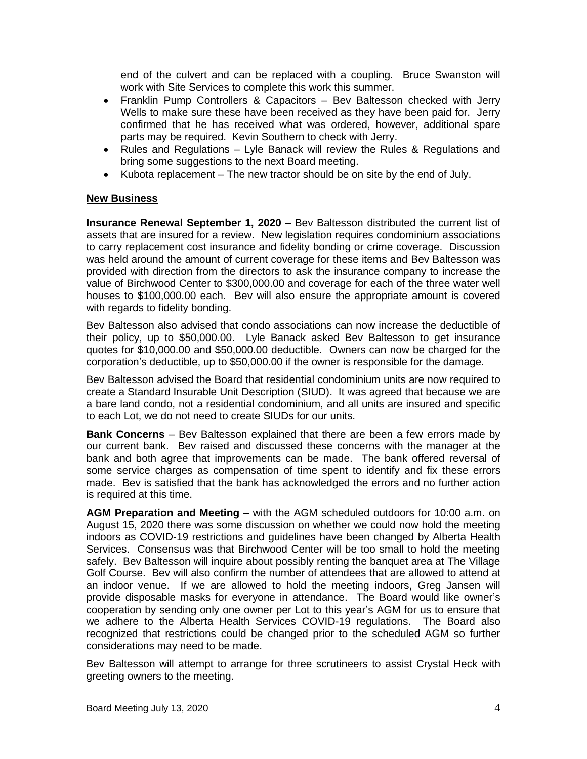end of the culvert and can be replaced with a coupling. Bruce Swanston will work with Site Services to complete this work this summer.

- Franklin Pump Controllers & Capacitors Bev Baltesson checked with Jerry Wells to make sure these have been received as they have been paid for. Jerry confirmed that he has received what was ordered, however, additional spare parts may be required. Kevin Southern to check with Jerry.
- Rules and Regulations Lyle Banack will review the Rules & Regulations and bring some suggestions to the next Board meeting.
- Kubota replacement The new tractor should be on site by the end of July.

#### **New Business**

**Insurance Renewal September 1, 2020** – Bev Baltesson distributed the current list of assets that are insured for a review. New legislation requires condominium associations to carry replacement cost insurance and fidelity bonding or crime coverage. Discussion was held around the amount of current coverage for these items and Bev Baltesson was provided with direction from the directors to ask the insurance company to increase the value of Birchwood Center to \$300,000.00 and coverage for each of the three water well houses to \$100,000.00 each. Bev will also ensure the appropriate amount is covered with regards to fidelity bonding.

Bev Baltesson also advised that condo associations can now increase the deductible of their policy, up to \$50,000.00. Lyle Banack asked Bev Baltesson to get insurance quotes for \$10,000.00 and \$50,000.00 deductible. Owners can now be charged for the corporation's deductible, up to \$50,000.00 if the owner is responsible for the damage.

Bev Baltesson advised the Board that residential condominium units are now required to create a Standard Insurable Unit Description (SIUD). It was agreed that because we are a bare land condo, not a residential condominium, and all units are insured and specific to each Lot, we do not need to create SIUDs for our units.

**Bank Concerns** – Bev Baltesson explained that there are been a few errors made by our current bank. Bev raised and discussed these concerns with the manager at the bank and both agree that improvements can be made. The bank offered reversal of some service charges as compensation of time spent to identify and fix these errors made. Bev is satisfied that the bank has acknowledged the errors and no further action is required at this time.

**AGM Preparation and Meeting** – with the AGM scheduled outdoors for 10:00 a.m. on August 15, 2020 there was some discussion on whether we could now hold the meeting indoors as COVID-19 restrictions and guidelines have been changed by Alberta Health Services. Consensus was that Birchwood Center will be too small to hold the meeting safely. Bev Baltesson will inquire about possibly renting the banquet area at The Village Golf Course. Bev will also confirm the number of attendees that are allowed to attend at an indoor venue. If we are allowed to hold the meeting indoors, Greg Jansen will provide disposable masks for everyone in attendance. The Board would like owner's cooperation by sending only one owner per Lot to this year's AGM for us to ensure that we adhere to the Alberta Health Services COVID-19 regulations. The Board also recognized that restrictions could be changed prior to the scheduled AGM so further considerations may need to be made.

Bev Baltesson will attempt to arrange for three scrutineers to assist Crystal Heck with greeting owners to the meeting.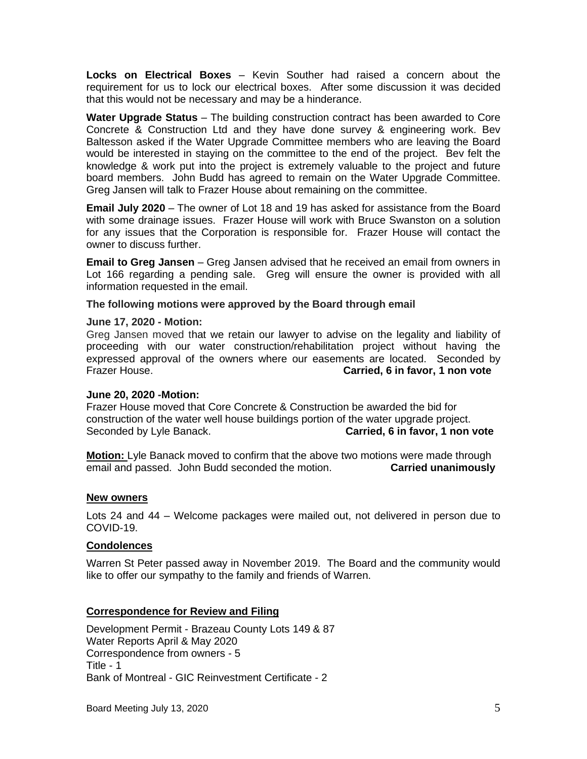**Locks on Electrical Boxes** – Kevin Souther had raised a concern about the requirement for us to lock our electrical boxes. After some discussion it was decided that this would not be necessary and may be a hinderance.

**Water Upgrade Status** – The building construction contract has been awarded to Core Concrete & Construction Ltd and they have done survey & engineering work. Bev Baltesson asked if the Water Upgrade Committee members who are leaving the Board would be interested in staying on the committee to the end of the project. Bev felt the knowledge & work put into the project is extremely valuable to the project and future board members. John Budd has agreed to remain on the Water Upgrade Committee. Greg Jansen will talk to Frazer House about remaining on the committee.

**Email July 2020** – The owner of Lot 18 and 19 has asked for assistance from the Board with some drainage issues. Frazer House will work with Bruce Swanston on a solution for any issues that the Corporation is responsible for. Frazer House will contact the owner to discuss further.

**Email to Greg Jansen** – Greg Jansen advised that he received an email from owners in Lot 166 regarding a pending sale. Greg will ensure the owner is provided with all information requested in the email.

## **The following motions were approved by the Board through email**

#### **June 17, 2020 - Motion:**

Greg Jansen moved that we retain our lawyer to advise on the legality and liability of proceeding with our water construction/rehabilitation project without having the expressed approval of the owners where our easements are located. Seconded by Frazer House. **Carried, 6 in favor, 1 non vote**

#### **June 20, 2020 -Motion:**

Frazer House moved that Core Concrete & Construction be awarded the bid for construction of the water well house buildings portion of the water upgrade project. Seconded by Lyle Banack. **Carried, 6 in favor, 1 non vote**

**Motion:** Lyle Banack moved to confirm that the above two motions were made through email and passed. John Budd seconded the motion. **Carried unanimously**

#### **New owners**

Lots 24 and 44 – Welcome packages were mailed out, not delivered in person due to COVID-19.

# **Condolences**

Warren St Peter passed away in November 2019. The Board and the community would like to offer our sympathy to the family and friends of Warren.

# **Correspondence for Review and Filing**

Development Permit - Brazeau County Lots 149 & 87 Water Reports April & May 2020 Correspondence from owners - 5 Title - 1 Bank of Montreal - GIC Reinvestment Certificate - 2